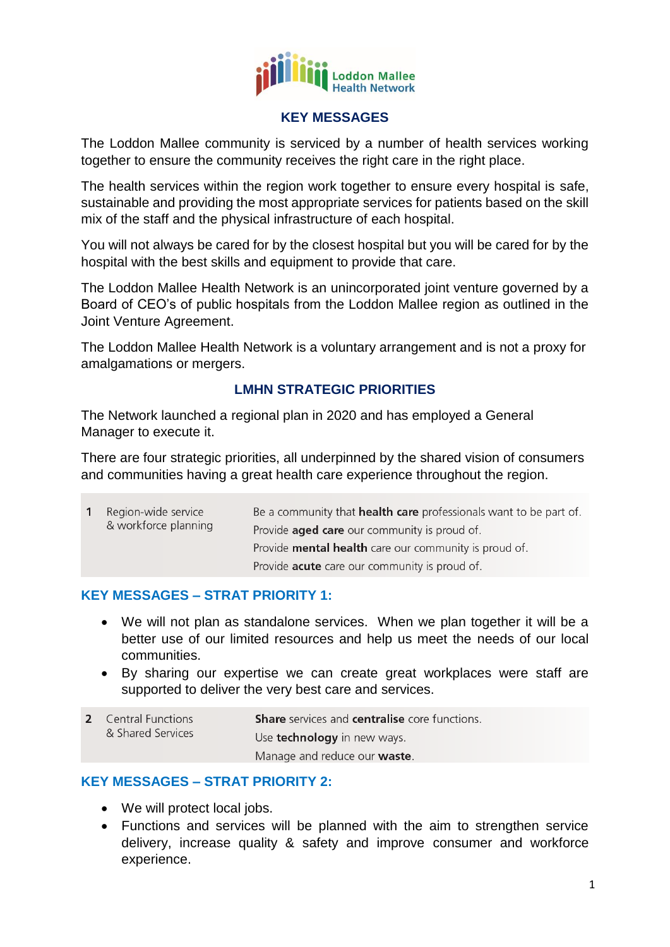

#### **KEY MESSAGES**

The Loddon Mallee community is serviced by a number of health services working together to ensure the community receives the right care in the right place.

The health services within the region work together to ensure every hospital is safe, sustainable and providing the most appropriate services for patients based on the skill mix of the staff and the physical infrastructure of each hospital.

You will not always be cared for by the closest hospital but you will be cared for by the hospital with the best skills and equipment to provide that care.

The Loddon Mallee Health Network is an unincorporated joint venture governed by a Board of CEO's of public hospitals from the Loddon Mallee region as outlined in the Joint Venture Agreement.

The Loddon Mallee Health Network is a voluntary arrangement and is not a proxy for amalgamations or mergers.

# **LMHN STRATEGIC PRIORITIES**

The Network launched a regional plan in 2020 and has employed a General Manager to execute it.

There are four strategic priorities, all underpinned by the shared vision of consumers and communities having a great health care experience throughout the region.

|  | Region-wide service<br>& workforce planning | Be a community that <b>health care</b> professionals want to be part of. |
|--|---------------------------------------------|--------------------------------------------------------------------------|
|  |                                             | Provide <b>aged care</b> our community is proud of.                      |
|  |                                             | Provide <b>mental health</b> care our community is proud of.             |
|  |                                             | Provide <b>acute</b> care our community is proud of.                     |

### **KEY MESSAGES – STRAT PRIORITY 1:**

- We will not plan as standalone services. When we plan together it will be a better use of our limited resources and help us meet the needs of our local communities.
- By sharing our expertise we can create great workplaces were staff are supported to deliver the very best care and services.

| <b>2</b> Central Functions<br>& Shared Services | <b>Share</b> services and <b>centralise</b> core functions. |
|-------------------------------------------------|-------------------------------------------------------------|
|                                                 | Use <b>technology</b> in new ways.                          |
|                                                 | Manage and reduce our <b>waste</b> .                        |

### **KEY MESSAGES – STRAT PRIORITY 2:**

- We will protect local jobs.
- Functions and services will be planned with the aim to strengthen service delivery, increase quality & safety and improve consumer and workforce experience.